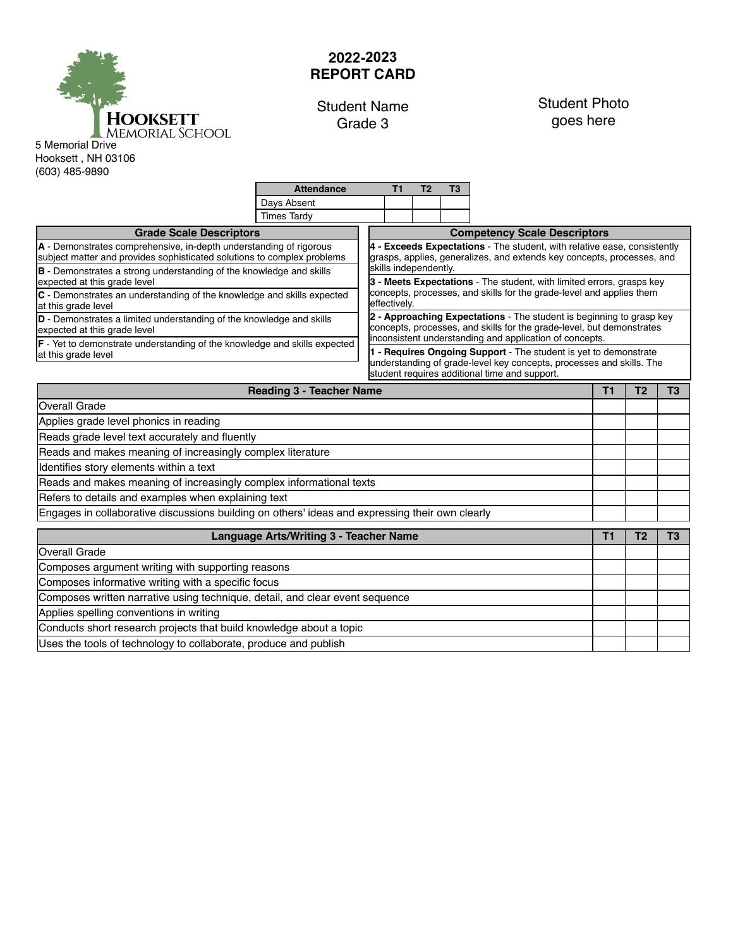

## **2022-2023 REPORT CARD**

## Student Name Grade 3

## Student Photo goes here

Hooksett , NH 03106 (603) 485-9890

|                                                                                                                                                                                                                                                                                                         | <b>Attendance</b>                                                                    | T <sub>1</sub>                                                                                                                                | T <sub>2</sub>                                                                                 | T <sub>3</sub>                                                                                                                                     |                                     |  |                |                |  |  |  |
|---------------------------------------------------------------------------------------------------------------------------------------------------------------------------------------------------------------------------------------------------------------------------------------------------------|--------------------------------------------------------------------------------------|-----------------------------------------------------------------------------------------------------------------------------------------------|------------------------------------------------------------------------------------------------|----------------------------------------------------------------------------------------------------------------------------------------------------|-------------------------------------|--|----------------|----------------|--|--|--|
|                                                                                                                                                                                                                                                                                                         | Days Absent                                                                          |                                                                                                                                               |                                                                                                |                                                                                                                                                    |                                     |  |                |                |  |  |  |
|                                                                                                                                                                                                                                                                                                         | <b>Times Tardy</b>                                                                   |                                                                                                                                               |                                                                                                |                                                                                                                                                    |                                     |  |                |                |  |  |  |
| <b>Grade Scale Descriptors</b>                                                                                                                                                                                                                                                                          |                                                                                      |                                                                                                                                               |                                                                                                |                                                                                                                                                    | <b>Competency Scale Descriptors</b> |  |                |                |  |  |  |
| A - Demonstrates comprehensive, in-depth understanding of rigorous<br>subject matter and provides sophisticated solutions to complex problems                                                                                                                                                           |                                                                                      |                                                                                                                                               |                                                                                                | 4 - Exceeds Expectations - The student, with relative ease, consistently<br>grasps, applies, generalizes, and extends key concepts, processes, and |                                     |  |                |                |  |  |  |
| B - Demonstrates a strong understanding of the knowledge and skills<br>expected at this grade level                                                                                                                                                                                                     |                                                                                      |                                                                                                                                               | skills independently.<br>3 - Meets Expectations - The student, with limited errors, grasps key |                                                                                                                                                    |                                     |  |                |                |  |  |  |
| C - Demonstrates an understanding of the knowledge and skills expected<br>at this grade level                                                                                                                                                                                                           | concepts, processes, and skills for the grade-level and applies them<br>effectively. |                                                                                                                                               |                                                                                                |                                                                                                                                                    |                                     |  |                |                |  |  |  |
| D - Demonstrates a limited understanding of the knowledge and skills<br>expected at this grade level                                                                                                                                                                                                    |                                                                                      | 2 - Approaching Expectations - The student is beginning to grasp key<br>concepts, processes, and skills for the grade-level, but demonstrates |                                                                                                |                                                                                                                                                    |                                     |  |                |                |  |  |  |
| inconsistent understanding and application of concepts.<br>F - Yet to demonstrate understanding of the knowledge and skills expected<br>1 - Requires Ongoing Support - The student is yet to demonstrate<br>at this grade level<br>understanding of grade-level key concepts, processes and skills. The |                                                                                      |                                                                                                                                               |                                                                                                |                                                                                                                                                    |                                     |  |                |                |  |  |  |
|                                                                                                                                                                                                                                                                                                         |                                                                                      |                                                                                                                                               |                                                                                                |                                                                                                                                                    |                                     |  |                |                |  |  |  |
| <b>Reading 3 - Teacher Name</b>                                                                                                                                                                                                                                                                         |                                                                                      |                                                                                                                                               |                                                                                                |                                                                                                                                                    |                                     |  | T <sub>2</sub> | T <sub>3</sub> |  |  |  |
| Overall Grade                                                                                                                                                                                                                                                                                           |                                                                                      |                                                                                                                                               |                                                                                                |                                                                                                                                                    |                                     |  |                |                |  |  |  |
| Applies grade level phonics in reading                                                                                                                                                                                                                                                                  |                                                                                      |                                                                                                                                               |                                                                                                |                                                                                                                                                    |                                     |  |                |                |  |  |  |
| Reads grade level text accurately and fluently                                                                                                                                                                                                                                                          |                                                                                      |                                                                                                                                               |                                                                                                |                                                                                                                                                    |                                     |  |                |                |  |  |  |
| Reads and makes meaning of increasingly complex literature                                                                                                                                                                                                                                              |                                                                                      |                                                                                                                                               |                                                                                                |                                                                                                                                                    |                                     |  |                |                |  |  |  |
| Identifies story elements within a text                                                                                                                                                                                                                                                                 |                                                                                      |                                                                                                                                               |                                                                                                |                                                                                                                                                    |                                     |  |                |                |  |  |  |
| Reads and makes meaning of increasingly complex informational texts                                                                                                                                                                                                                                     |                                                                                      |                                                                                                                                               |                                                                                                |                                                                                                                                                    |                                     |  |                |                |  |  |  |
| Refers to details and examples when explaining text                                                                                                                                                                                                                                                     |                                                                                      |                                                                                                                                               |                                                                                                |                                                                                                                                                    |                                     |  |                |                |  |  |  |
| Engages in collaborative discussions building on others' ideas and expressing their own clearly                                                                                                                                                                                                         |                                                                                      |                                                                                                                                               |                                                                                                |                                                                                                                                                    |                                     |  |                |                |  |  |  |
| <b>Language Arts/Writing 3 - Teacher Name</b>                                                                                                                                                                                                                                                           |                                                                                      |                                                                                                                                               |                                                                                                |                                                                                                                                                    |                                     |  | T <sub>2</sub> | T <sub>3</sub> |  |  |  |
| Overall Grade                                                                                                                                                                                                                                                                                           |                                                                                      |                                                                                                                                               |                                                                                                |                                                                                                                                                    |                                     |  |                |                |  |  |  |
| Composes argument writing with supporting reasons                                                                                                                                                                                                                                                       |                                                                                      |                                                                                                                                               |                                                                                                |                                                                                                                                                    |                                     |  |                |                |  |  |  |
| Composes informative writing with a specific focus                                                                                                                                                                                                                                                      |                                                                                      |                                                                                                                                               |                                                                                                |                                                                                                                                                    |                                     |  |                |                |  |  |  |
| Composes written narrative using technique, detail, and clear event sequence                                                                                                                                                                                                                            |                                                                                      |                                                                                                                                               |                                                                                                |                                                                                                                                                    |                                     |  |                |                |  |  |  |
| Applies spelling conventions in writing                                                                                                                                                                                                                                                                 |                                                                                      |                                                                                                                                               |                                                                                                |                                                                                                                                                    |                                     |  |                |                |  |  |  |
| Conducts short research projects that build knowledge about a topic                                                                                                                                                                                                                                     |                                                                                      |                                                                                                                                               |                                                                                                |                                                                                                                                                    |                                     |  |                |                |  |  |  |
| Uses the tools of technology to collaborate, produce and publish                                                                                                                                                                                                                                        |                                                                                      |                                                                                                                                               |                                                                                                |                                                                                                                                                    |                                     |  |                |                |  |  |  |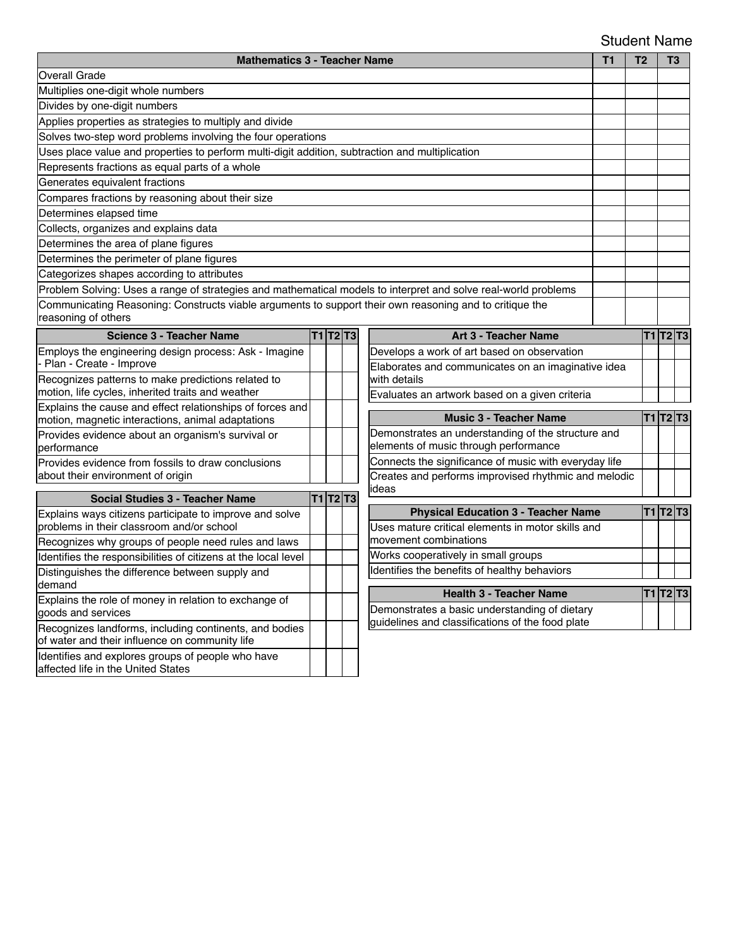## Student Name

| <b>Mathematics 3 - Teacher Name</b><br><b>T1</b>                                                               |  |  |                                                       |                                                    |                                                                |  | T <sub>2</sub> |  | T <sub>3</sub>  |
|----------------------------------------------------------------------------------------------------------------|--|--|-------------------------------------------------------|----------------------------------------------------|----------------------------------------------------------------|--|----------------|--|-----------------|
| <b>Overall Grade</b>                                                                                           |  |  |                                                       |                                                    |                                                                |  |                |  |                 |
| Multiplies one-digit whole numbers                                                                             |  |  |                                                       |                                                    |                                                                |  |                |  |                 |
| Divides by one-digit numbers                                                                                   |  |  |                                                       |                                                    |                                                                |  |                |  |                 |
| Applies properties as strategies to multiply and divide                                                        |  |  |                                                       |                                                    |                                                                |  |                |  |                 |
| Solves two-step word problems involving the four operations                                                    |  |  |                                                       |                                                    |                                                                |  |                |  |                 |
| Uses place value and properties to perform multi-digit addition, subtraction and multiplication                |  |  |                                                       |                                                    |                                                                |  |                |  |                 |
| Represents fractions as equal parts of a whole                                                                 |  |  |                                                       |                                                    |                                                                |  |                |  |                 |
| Generates equivalent fractions                                                                                 |  |  |                                                       |                                                    |                                                                |  |                |  |                 |
| Compares fractions by reasoning about their size                                                               |  |  |                                                       |                                                    |                                                                |  |                |  |                 |
| Determines elapsed time                                                                                        |  |  |                                                       |                                                    |                                                                |  |                |  |                 |
| Collects, organizes and explains data                                                                          |  |  |                                                       |                                                    |                                                                |  |                |  |                 |
| Determines the area of plane figures                                                                           |  |  |                                                       |                                                    |                                                                |  |                |  |                 |
| Determines the perimeter of plane figures                                                                      |  |  |                                                       |                                                    |                                                                |  |                |  |                 |
| Categorizes shapes according to attributes                                                                     |  |  |                                                       |                                                    |                                                                |  |                |  |                 |
| Problem Solving: Uses a range of strategies and mathematical models to interpret and solve real-world problems |  |  |                                                       |                                                    |                                                                |  |                |  |                 |
| Communicating Reasoning: Constructs viable arguments to support their own reasoning and to critique the        |  |  |                                                       |                                                    |                                                                |  |                |  |                 |
| reasoning of others                                                                                            |  |  |                                                       |                                                    |                                                                |  |                |  |                 |
| <b>Science 3 - Teacher Name</b>                                                                                |  |  | <b>T1 T2 T3</b>                                       |                                                    | Art 3 - Teacher Name                                           |  |                |  | T1 T2 T3        |
| Employs the engineering design process: Ask - Imagine                                                          |  |  |                                                       |                                                    | Develops a work of art based on observation                    |  |                |  |                 |
| Plan - Create - Improve                                                                                        |  |  |                                                       |                                                    | Elaborates and communicates on an imaginative idea             |  |                |  |                 |
| Recognizes patterns to make predictions related to<br>motion, life cycles, inherited traits and weather        |  |  |                                                       |                                                    | with details                                                   |  |                |  |                 |
| Explains the cause and effect relationships of forces and                                                      |  |  |                                                       |                                                    | Evaluates an artwork based on a given criteria                 |  |                |  |                 |
| motion, magnetic interactions, animal adaptations                                                              |  |  |                                                       |                                                    | <b>Music 3 - Teacher Name</b>                                  |  |                |  | T1 T2 T3        |
| Provides evidence about an organism's survival or                                                              |  |  |                                                       | Demonstrates an understanding of the structure and |                                                                |  |                |  |                 |
| performance                                                                                                    |  |  |                                                       |                                                    | elements of music through performance                          |  |                |  |                 |
| Provides evidence from fossils to draw conclusions                                                             |  |  | Connects the significance of music with everyday life |                                                    |                                                                |  |                |  |                 |
| about their environment of origin                                                                              |  |  |                                                       |                                                    | Creates and performs improvised rhythmic and melodic<br>lideas |  |                |  |                 |
| <b>Social Studies 3 - Teacher Name</b>                                                                         |  |  | T1 T2 T3                                              |                                                    |                                                                |  |                |  |                 |
| Explains ways citizens participate to improve and solve                                                        |  |  |                                                       |                                                    | <b>Physical Education 3 - Teacher Name</b>                     |  |                |  | <b>T1 T2 T3</b> |
| problems in their classroom and/or school                                                                      |  |  |                                                       |                                                    | Uses mature critical elements in motor skills and              |  |                |  |                 |
| Recognizes why groups of people need rules and laws                                                            |  |  |                                                       |                                                    | movement combinations                                          |  |                |  |                 |
| Identifies the responsibilities of citizens at the local level                                                 |  |  |                                                       |                                                    | Works cooperatively in small groups                            |  |                |  |                 |
| Distinguishes the difference between supply and<br>demand                                                      |  |  |                                                       | Identifies the benefits of healthy behaviors       |                                                                |  |                |  |                 |
| Explains the role of money in relation to exchange of                                                          |  |  | <b>Health 3 - Teacher Name</b>                        |                                                    |                                                                |  | T1 T2 T3       |  |                 |
| goods and services                                                                                             |  |  |                                                       |                                                    | Demonstrates a basic understanding of dietary                  |  |                |  |                 |
| Recognizes landforms, including continents, and bodies                                                         |  |  |                                                       |                                                    | guidelines and classifications of the food plate               |  |                |  |                 |
| of water and their influence on community life                                                                 |  |  |                                                       |                                                    |                                                                |  |                |  |                 |
| Identifies and explores groups of people who have<br>affected life in the United States                        |  |  |                                                       |                                                    |                                                                |  |                |  |                 |